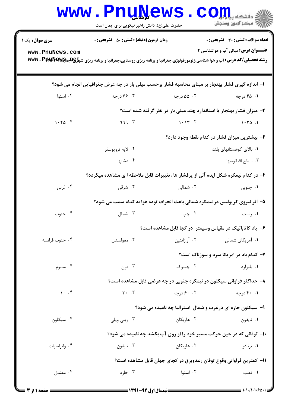|                                                                     | <b>MMM • FUNTAGMP</b><br>حضرت علی(ع): دانش راهبر نیکویی برای ایمان است                           |                                                                        | دانشگاه پی <mark>ا ب</mark> ا ک <mark>ر</mark><br>رُ⁄ کرڪز آزمون وسنڊش |  |  |
|---------------------------------------------------------------------|--------------------------------------------------------------------------------------------------|------------------------------------------------------------------------|------------------------------------------------------------------------|--|--|
| <b>سری سوال :</b> یک ۱                                              | <b>زمان آزمون (دقیقه) : تستی : 50 ٪ تشریحی : 0</b>                                               |                                                                        | <b>تعداد سوالات : تستی : 30 ٪ تشریحی : 0</b>                           |  |  |
| www.PnuNews.com                                                     |                                                                                                  |                                                                        | <b>عنــوان درس:</b> مبانی آب و هواشناسی ۲                              |  |  |
|                                                                     | ۱– اندازه گیری فشار بهنجار بر مبنای محاسبه فشار برحسب میلی بار در چه عرض جغرافیایی انجام می شود؟ |                                                                        |                                                                        |  |  |
| ۰۴ استوا                                                            | ۰۳ ۶۶ درجه                                                                                       | ۰۲ ۵۵ درجه                                                             | ۰۱ ۴۵ درجه                                                             |  |  |
|                                                                     | ۲- میزان فشار بهنجار یا استاندارد چند میلی بار در نظر گرفته شده است؟                             |                                                                        |                                                                        |  |  |
| 1.70.9                                                              | 999.7                                                                                            | 1.17.7                                                                 | 1.70.1                                                                 |  |  |
| ۳- بیشترین میزان فشار در کدام نقطه وجود دارد؟                       |                                                                                                  |                                                                        |                                                                        |  |  |
|                                                                     | ۰۲ لايه تروپوسفر                                                                                 |                                                                        | ۰۱ بالای کوهستانهای بلند                                               |  |  |
|                                                                     | ۰۴ دشتها                                                                                         |                                                                        | ۰۳ سطح اقيانوسها                                                       |  |  |
|                                                                     | ۴- در کدام نیمکره شکل ایده آلی از پرفشار ها ،تغییرات قابل ملاحظه ا ی مشاهده میگردد؟              |                                                                        |                                                                        |  |  |
| ۰۴ غربي                                                             | ۰۳ شرقی                                                                                          | ۰۲ شمالی                                                               | ۰۱ جنوبی                                                               |  |  |
|                                                                     | ۵– اثر نیروی کریولیس در نیمکره شمالی باعث انحراف توده هوا به کدام سمت می شود؟                    |                                                                        |                                                                        |  |  |
| ۰۴ جنوب                                                             | ۰۳ شمال                                                                                          | ۰۲ چپ                                                                  | ٠١ راست                                                                |  |  |
|                                                                     |                                                                                                  | ۶– باد کاتاباتیک در مقیاس وسیعتر در کجا قابل مشاهده است؟               |                                                                        |  |  |
| ۰۴ جنوب فرانسه                                                      | ۰۳ مغولستان                                                                                      | ۰۲ آراژانتین                                                           | ۰۱ آمریکای شمالی                                                       |  |  |
|                                                                     |                                                                                                  |                                                                        | ۷- کدام باد در امریکا سرد و سوزناک است؟                                |  |  |
| ۰۴ سموم                                                             | ۰۳ فون                                                                                           | ۰۲ چينوک                                                               | ۰۱ بلیزارد                                                             |  |  |
|                                                                     |                                                                                                  | ۸– حداکثر فراوانی سیکلون در نیمکره جنوبی در چه عرضی قابل مشاهده است؟   |                                                                        |  |  |
| 1.7                                                                 | $\mathbf{r}$ . $\mathbf{r}$                                                                      | ۰.۲ ۶۰ درجه                                                            | ۰.۱ ۴۰ درجه                                                            |  |  |
|                                                                     |                                                                                                  | ۹- سیکلون حاره ای درغرب و شمال استرالیا چه نامیده می شود؟              |                                                                        |  |  |
| ۰۴ سیکلون                                                           | ۰۳ ویلي ویلي                                                                                     | ۰۲ هاریکان                                                             | ۰۱ تايفون                                                              |  |  |
|                                                                     |                                                                                                  | ۱۰- توفانی که در حین حرکت مسیر خود را از روی آب بکشد چه نامیده می شود؟ |                                                                        |  |  |
| ۰۴ واتراسپات                                                        | ۰۳ تايفون                                                                                        | ۰۲ هاریکان                                                             | ۰۱ ترنادو                                                              |  |  |
| 1۱– کمترین فراوانی وقوع توفان رعدوبرق در کجای جهان قابل مشاهده است؟ |                                                                                                  |                                                                        |                                                                        |  |  |
| ۰۴ معتدل                                                            | ۰۳ حاره                                                                                          | ۰۲ استوا                                                               | ٠١ قطب                                                                 |  |  |
|                                                                     |                                                                                                  |                                                                        |                                                                        |  |  |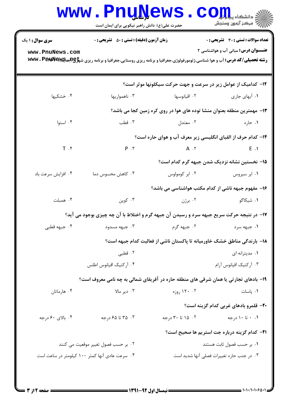|                                                | <b>www.PnuNews</b><br>حضرت علی(ع): دانش راهبر نیکویی برای ایمان است                                                                                                                            |                                                                          | $\mathbf{C}\text{-}\mathbf{C}$ انشڪاه پ<br>أأآت مركز آزمون وسنجش                           |  |  |  |
|------------------------------------------------|------------------------------------------------------------------------------------------------------------------------------------------------------------------------------------------------|--------------------------------------------------------------------------|--------------------------------------------------------------------------------------------|--|--|--|
| <b>سری سوال : ۱ یک</b><br>www.PnuNews.com      | <b>زمان آزمون (دقیقه) : تستی : 50 ٪ تشریحی : 0</b><br><b>رشته تحصیلی/کد درس: آ</b> ب و هوا شناسی،ژئومورفولوژی،جغرافیا و برنامه ریزی روستایی،جغرافیا و برنامه ریزی ش <del>پاو@هیا@T</del> W . P |                                                                          | <b>تعداد سوالات : تستی : 30 ٪ تشریحی : 0</b><br><b>عنـــوان درس:</b> مبانی آب و هواشناسی ۲ |  |  |  |
|                                                |                                                                                                                                                                                                | ۱۲- کدامیک از عوامل زیر در سرعت و جهت حرکت سیکلونها موثر است؟            |                                                                                            |  |  |  |
| ۰۴ خشکیها                                      | ۰۳ ناهمواریها                                                                                                                                                                                  | ۰۲ اقیانوسها                                                             | ۰۱ آبهای جاری                                                                              |  |  |  |
|                                                |                                                                                                                                                                                                | ۱۳- مهمترین منطقه بعنوان منشا توده های هوا در روی کره زمین کجا می باشد؟  |                                                                                            |  |  |  |
| ۰۴ استوا                                       | ۰۳ قطب                                                                                                                                                                                         | ۰۲ معتدل                                                                 | ۰۱ حاره                                                                                    |  |  |  |
|                                                | ۱۴- کدام حرف از الفبای انگلیسی زیر معرف آب و هوای حاره است؟                                                                                                                                    |                                                                          |                                                                                            |  |  |  |
| $T \cdot$                                      |                                                                                                                                                                                                | $P \cdot Y$ $A \cdot Y$ $E \cdot Y$                                      |                                                                                            |  |  |  |
|                                                |                                                                                                                                                                                                |                                                                          | ۱۵– نخستین نشانه نزدیک شدن جبهه گرم کدام است؟                                              |  |  |  |
| ۰۴ افزايش سرعت باد                             | ۰۳ کاهش محسوس دما                                                                                                                                                                              | ۰۲ ابر کومولوس                                                           | ۰۱ ابر سیروس                                                                               |  |  |  |
|                                                |                                                                                                                                                                                                | ۱۶– مفهوم جبهه ناشی از کدام مکتب هواشناسی می باشد؟                       |                                                                                            |  |  |  |
| ۰۴ همبلت                                       | ۰۳ کوپن                                                                                                                                                                                        |                                                                          |                                                                                            |  |  |  |
|                                                | ۱۷- در نتیجه حرکت سریع جبهه سرد و رسیدن آن جبهه گرم و اختلاط با آن چه چیزی بوجود می آید؟                                                                                                       |                                                                          |                                                                                            |  |  |  |
| ۰۴ جبهه قطبی                                   | جېهه مسدود $\cdot$ ۳                                                                                                                                                                           | ۰۲ جبهه گرم                                                              | ۰۱ جبهه سرد                                                                                |  |  |  |
|                                                |                                                                                                                                                                                                | ۱۸– بارندگی مناطق خشک خاورمیانه تا پاکستان ناشی از فعالیت کدام جبهه است؟ |                                                                                            |  |  |  |
|                                                | ۰۲ قطبی                                                                                                                                                                                        |                                                                          | ۰۱ مديترانه اي                                                                             |  |  |  |
|                                                | ۰۴ آركتيک اقيانوس اطلس                                                                                                                                                                         |                                                                          | ۰۳ آرکتیک اقیانوس آرام                                                                     |  |  |  |
|                                                | ۱۹- بادهای تجارتی یا همان شرقی های منطقه حاره در آفریقای شمالی به چه نامی معروف است؟                                                                                                           |                                                                          |                                                                                            |  |  |  |
| ۰۴ هارماتان                                    | ۰۳ دیر مالا                                                                                                                                                                                    | ۰۲ ۱۲۰ روزه                                                              | ۰۱ پاسات                                                                                   |  |  |  |
|                                                |                                                                                                                                                                                                |                                                                          | ۲۰- قلمرو بادهای غربی کدام گزینه است؟                                                      |  |  |  |
| ۰۴ بالای ۶۰ درجه                               | ۰۳ تا ۶۵ درجه                                                                                                                                                                                  | ۰۲ ۱۵ تا ۳۰ درجه                                                         | ۰.۱ تا ۱۰درجه                                                                              |  |  |  |
|                                                |                                                                                                                                                                                                |                                                                          | <b>٢١</b> - كدام گزينه درباره جت استريم ها صحيح است؟                                       |  |  |  |
|                                                | ۰۲ بر حسب فصول تغییر موقعیت می کنند                                                                                                                                                            | ۰۱ بر حسب فصول ثابت هستند                                                |                                                                                            |  |  |  |
| ۰۴ سرعت عادی آنها کمتر ۱۰۰ کیلومتر در ساعت است |                                                                                                                                                                                                |                                                                          | ۰۳ در جنب حاره تغییرات فصلی آنها شدید است                                                  |  |  |  |
|                                                |                                                                                                                                                                                                |                                                                          |                                                                                            |  |  |  |